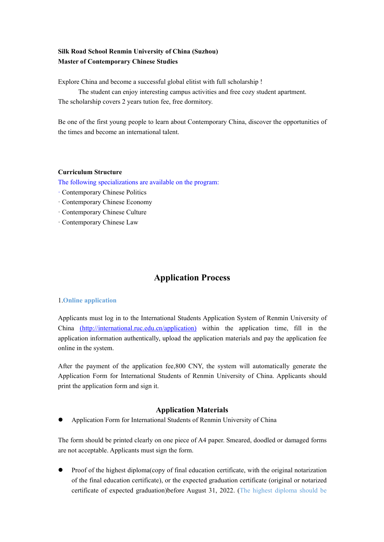## **Silk Road School Renmin University of China (Suzhou) Master of Contemporary Chinese Studies**

Explore China and become a successful global elitist with full scholarship !

The student can enjoy interesting campus activities and free cozy student apartment. The scholarship covers 2 years tution fee, free dormitory.

Be one of the first young people to learn about Contemporary China, discover the opportunities of the times and become an international talent.

#### **Curriculum Structure**

The following specializations are available on the program:

- · Contemporary Chinese Politics
- · Contemporary Chinese Economy
- · Contemporary Chinese Culture
- · Contemporary Chinese Law

# **Application Process**

#### 1.**Online application**

Applicants must log in to the International Students Application System of Renmin University of China (http://international.ruc.edu.cn/application) within the application time, fill in the application information authentically, upload the application materials and pay the application fee online in the system.<br>After the payment of the application fee,800 CNY, the system will automatically generate the

Application Form for International Students of Renmin University of China. Applicants should print the application form and sign it.

## **Application Materials**

Application Form for International Students of Renmin University of China

The form should be printed clearly on one piece of A4 paper. Smeared, doodled or damaged forms are not acceptable. Applicants must sign the form.

 $\bullet$  Proof of the highest diploma(copy of final education certificate, with the original notarization of the final education certificate), or the expected graduation certificate (original or notarized certificate of expected graduation)before August 31, 2022. (The highest diploma should be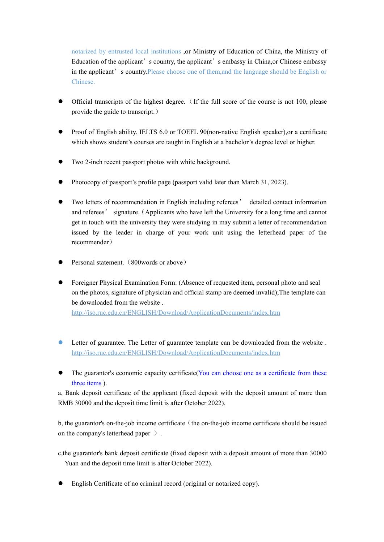notarized by entrusted local institutions ,or Ministry of Education of China, the Ministry of Education of the applicant's country, the applicant's embassy in China, or Chinese embassy in the applicant's country.Please choose one of them,and the language should be English or Chinese.

- Official transcripts of the highest degree. (If the full score of the course is not 100, please provide the guide to transcript.)
- Proof of English ability. IELTS 6.0 or TOEFL 90(non-native English speaker),or a certificate which shows student's courses are taught in English at a bachelor's degree level or higher.
- Two 2-inch recent passport photos with white background.
- Photocopy of passport's profile page (passport valid later than March 31, 2023).
- Two letters of recommendation in English including referees' detailed contact information and referees' signature.(Applicants who have left the University for a long time and cannot get in touch with the university they were studying in may submit a letter of recommendation issued by the leader in charge of your work unit using the letterhead paper of the recommender)
- Personal statement. (800words or above)
- Foreigner Physical Examination Form: (Absence of requested item, personal photo and seal on the photos, signature of physician and official stamp are deemed invalid);The template can be downloaded from the website .

http://iso.ruc.edu.cn/ENGLISH/Download/ApplicationDocuments/index.htm

- Letter of guarantee. The Letter of guarantee template can be downloaded from the website . http://iso.ruc.edu.cn/ENGLISH/Download/ApplicationDocuments/index.htm
- The guarantor's economic capacity certificate (You can choose one as a certificate from these three items ).

a, Bank deposit certificate of the applicant (fixed deposit with the deposit amount of more than RMB 30000 and the deposit time limit is after October 2022).

b, the guarantor's on-the-job income certificate (the on-the-job income certificate should be issued on the company's letterhead paper ).

c,the guarantor's bank deposit certificate (fixed deposit with a depositamount of more than 30000 Yuan and the deposit time limit is after October 2022).

English Certificate of no criminal record (original or notarized copy).